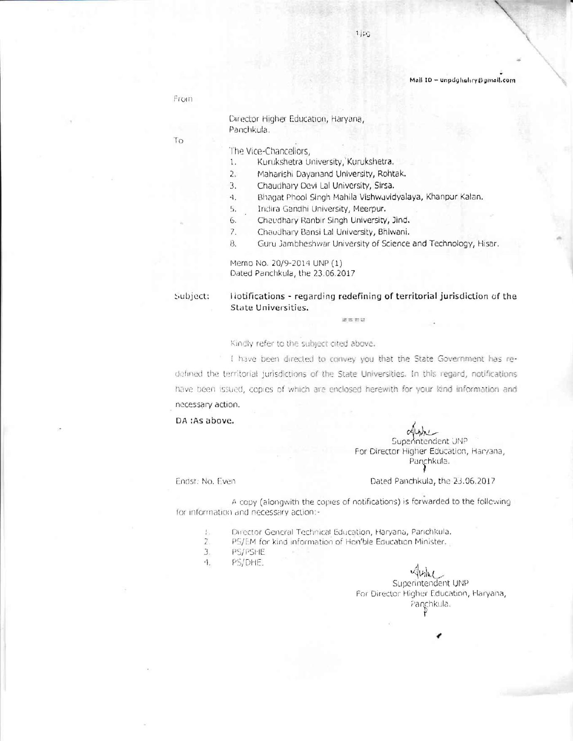#### Mail ID - unpdghuhry@gmail.com

From

To

#### Director Higher Education, Haryana, Panchkula.

#### The Vice-Chancellors,

- Kurukshetra University, Kurukshetra.  $1.$
- $2.$ Maharishi Dayanand University, Rohtak.
- Chaudhary Devi Lal University, Sirsa. 3.
- Bhagat Phool Singh Mahila Vishwavidyalaya, Khanpur Kalan.  $\ddot{\mathcal{A}}$
- 5. Indira Gandhi University, Meerpur.
- 6. Chaudhary Ranbir Singh University, Jind.
- $\overline{z}$ . Chaudhary Bansi Lal University, Bhiwani.
- 8. Guru Jambheshwar University of Science and Technology, Hisar.

Memo No. 20/9-2014 UNP (1) Dated Panchkula, the 23.06.2017

Subject:

liotifications - regarding redefining of territorial jurisdiction of the **State Universities.** 

enu

#### Kindly refer to the subject cited above.

I have been directed to convey you that the State Government has redefined the territorial jurisdictions of the State Universities. In this regard, notifications have been issued, copies of which are enclosed herewith for your kind information and necessary action.

DA :As above.

Superintendent UNP For Director Higher Education, Haryana, Panchkula.

Endst: No. Even

#### Dated Panchkula, the 23.06.2017

A copy (alongwith the copies of notifications) is forwarded to the following for information and necessary action:-

- Director General Technical Education, Haryana, Panchkula. Ŀ,
- $\overline{2}$ . PS/EM for kind information of Hon'ble Education Minister.
- $3.$ PS/PSHE
- $\cdot \uparrow$ PS/DHE.

 $40h1$ Superintendent UNP For Director Higher Education, Haryana, Panchkula.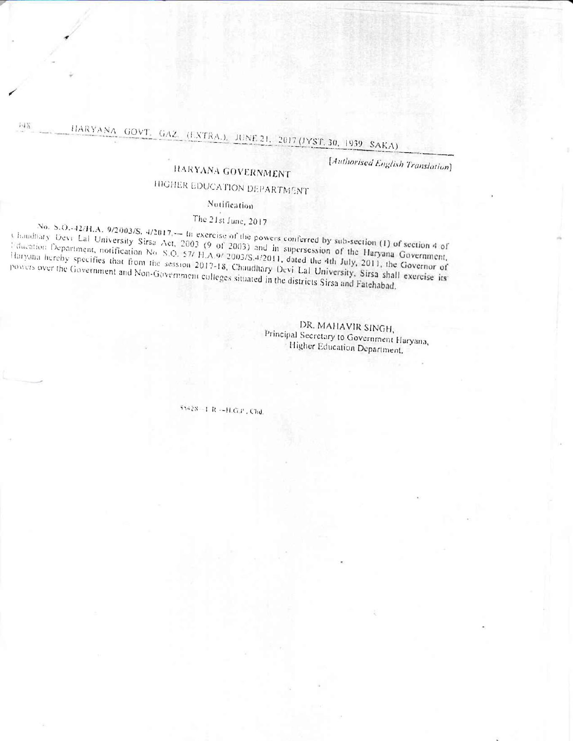# HARYANA GOVT, GAZ, (EXTRA.), JUNE 21, 2017 (JYST. 30, 1939, SAKA)

[Authorised English Translation]

# HARYANA GOVERNMENT

# **INGHER EDUCATION DEPARTMENT**

#### Notification

## The 21st June, 2017

No. S.O.-42/H.A. 9/2003/S. 4/2017. -- In exercise of the powers conferred by sub-section (1) of section 4 of Chaudhary Devi Lal University Sirsa Act, 2003 (9 of 2003) and in supersession of the Haryana Government, I dication Department, notification No. S.O. 57/ H.A.9/ 2003/S.4/2011, dated the 4th July, 2011, the Governor of Haryana hereby specifies that from the session 2017-18, Chaudhary Devi Lal University, Sirsa shall exercise its powers over the Government and Non-Government colleges situated in the districts Sirsa and Fatehabad.

> DR. MAHAVIR SINGH, Principal Secretary to Government Haryana, Higher Education Department.

55428-1 R--H.G.P. Chd.